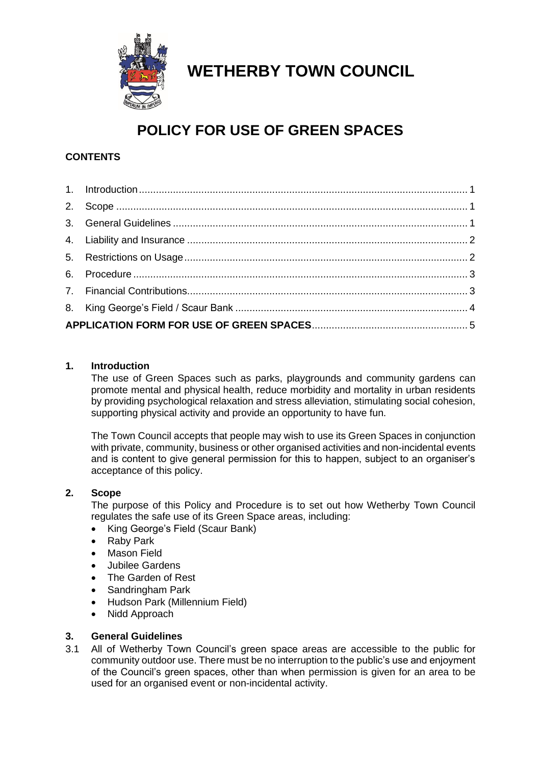

## **WETHERBY TOWN COUNCIL**

## **POLICY FOR USE OF GREEN SPACES**

#### **CONTENTS**

#### <span id="page-0-0"></span>**1. Introduction**

The use of Green Spaces such as parks, playgrounds and community gardens can promote mental and physical health, reduce morbidity and mortality in urban residents by providing psychological relaxation and stress alleviation, stimulating social cohesion, supporting physical activity and provide an opportunity to have fun.

The Town Council accepts that people may wish to use its Green Spaces in conjunction with private, community, business or other organised activities and non-incidental events and is content to give general permission for this to happen, subject to an organiser's acceptance of this policy.

#### <span id="page-0-1"></span>**2. Scope**

The purpose of this Policy and Procedure is to set out how Wetherby Town Council regulates the safe use of its Green Space areas, including:

- King George's Field (Scaur Bank)
- **Raby Park**
- Mason Field
- Jubilee Gardens
- The Garden of Rest
- Sandringham Park
- Hudson Park (Millennium Field)
- Nidd Approach

#### <span id="page-0-2"></span>**3. General Guidelines**

3.1 All of Wetherby Town Council's green space areas are accessible to the public for community outdoor use. There must be no interruption to the public's use and enjoyment of the Council's green spaces, other than when permission is given for an area to be used for an organised event or non-incidental activity.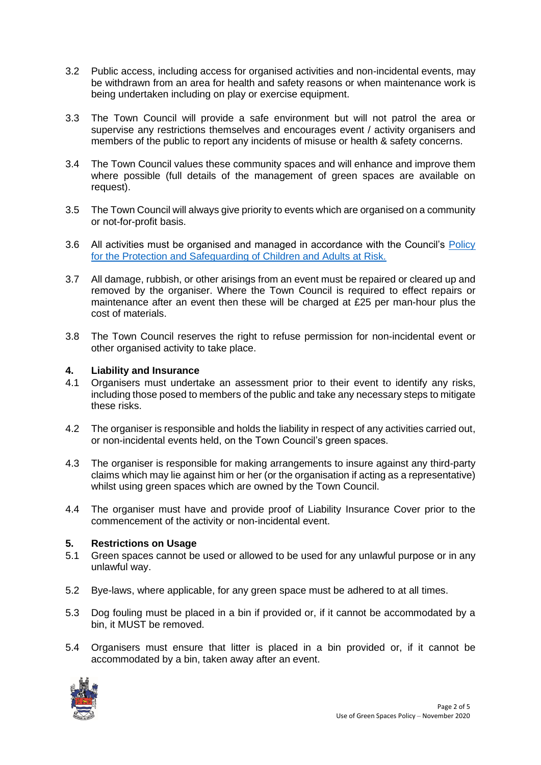- 3.2 Public access, including access for organised activities and non-incidental events, may be withdrawn from an area for health and safety reasons or when maintenance work is being undertaken including on play or exercise equipment.
- 3.3 The Town Council will provide a safe environment but will not patrol the area or supervise any restrictions themselves and encourages event / activity organisers and members of the public to report any incidents of misuse or health & safety concerns.
- 3.4 The Town Council values these community spaces and will enhance and improve them where possible (full details of the management of green spaces are available on request).
- 3.5 The Town Council will always give priority to events which are organised on a community or not-for-profit basis.
- 3.6 All activities must be organised and managed in accordance with the Council's [Policy](http://www.wetherby.co.uk/_UserFiles/Files/Town%20Council/Standard%20Documents/WTC%20Child%20Protection%20Safeguarding%20Policy%20Adopted%2012.6.18.pdf)  [for the Protection and Safeguarding of Children and Adults at Risk.](http://www.wetherby.co.uk/_UserFiles/Files/Town%20Council/Standard%20Documents/WTC%20Child%20Protection%20Safeguarding%20Policy%20Adopted%2012.6.18.pdf)
- 3.7 All damage, rubbish, or other arisings from an event must be repaired or cleared up and removed by the organiser. Where the Town Council is required to effect repairs or maintenance after an event then these will be charged at £25 per man-hour plus the cost of materials.
- 3.8 The Town Council reserves the right to refuse permission for non-incidental event or other organised activity to take place.

#### <span id="page-1-0"></span>**4. Liability and Insurance**

- 4.1 Organisers must undertake an assessment prior to their event to identify any risks, including those posed to members of the public and take any necessary steps to mitigate these risks.
- 4.2 The organiser is responsible and holds the liability in respect of any activities carried out, or non-incidental events held, on the Town Council's green spaces.
- 4.3 The organiser is responsible for making arrangements to insure against any third-party claims which may lie against him or her (or the organisation if acting as a representative) whilst using green spaces which are owned by the Town Council.
- 4.4 The organiser must have and provide proof of Liability Insurance Cover prior to the commencement of the activity or non-incidental event.

#### <span id="page-1-1"></span>**5. Restrictions on Usage**

- 5.1 Green spaces cannot be used or allowed to be used for any unlawful purpose or in any unlawful way.
- 5.2 Bye-laws, where applicable, for any green space must be adhered to at all times.
- 5.3 Dog fouling must be placed in a bin if provided or, if it cannot be accommodated by a bin, it MUST be removed.
- 5.4 Organisers must ensure that litter is placed in a bin provided or, if it cannot be accommodated by a bin, taken away after an event.

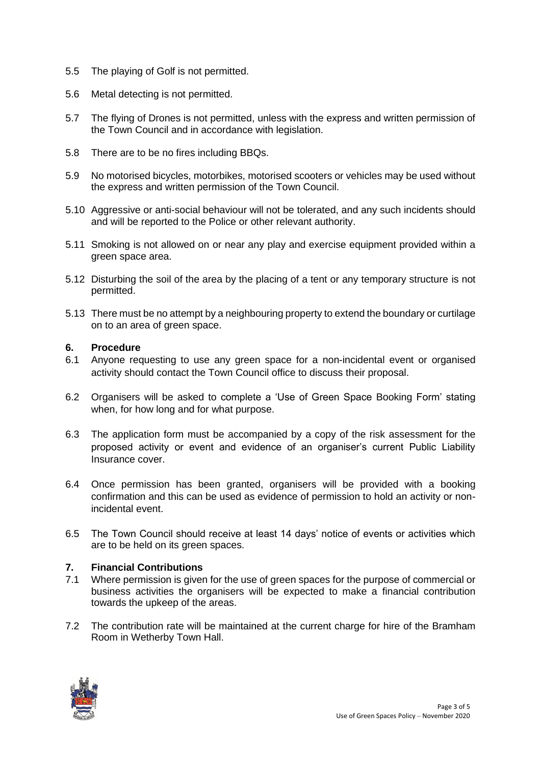- 5.5 The playing of Golf is not permitted.
- 5.6 Metal detecting is not permitted.
- 5.7 The flying of Drones is not permitted, unless with the express and written permission of the Town Council and in accordance with legislation.
- 5.8 There are to be no fires including BBQs.
- 5.9 No motorised bicycles, motorbikes, motorised scooters or vehicles may be used without the express and written permission of the Town Council.
- 5.10 Aggressive or anti-social behaviour will not be tolerated, and any such incidents should and will be reported to the Police or other relevant authority.
- 5.11 Smoking is not allowed on or near any play and exercise equipment provided within a green space area.
- 5.12 Disturbing the soil of the area by the placing of a tent or any temporary structure is not permitted.
- 5.13 There must be no attempt by a neighbouring property to extend the boundary or curtilage on to an area of green space.

#### <span id="page-2-0"></span>**6. Procedure**

- 6.1 Anyone requesting to use any green space for a non-incidental event or organised activity should contact the Town Council office to discuss their proposal.
- 6.2 Organisers will be asked to complete a 'Use of Green Space Booking Form' stating when, for how long and for what purpose.
- 6.3 The application form must be accompanied by a copy of the risk assessment for the proposed activity or event and evidence of an organiser's current Public Liability Insurance cover.
- 6.4 Once permission has been granted, organisers will be provided with a booking confirmation and this can be used as evidence of permission to hold an activity or nonincidental event.
- 6.5 The Town Council should receive at least 14 days' notice of events or activities which are to be held on its green spaces.

#### <span id="page-2-1"></span>**7. Financial Contributions**

- 7.1 Where permission is given for the use of green spaces for the purpose of commercial or business activities the organisers will be expected to make a financial contribution towards the upkeep of the areas.
- 7.2 The contribution rate will be maintained at the current charge for hire of the Bramham Room in Wetherby Town Hall.

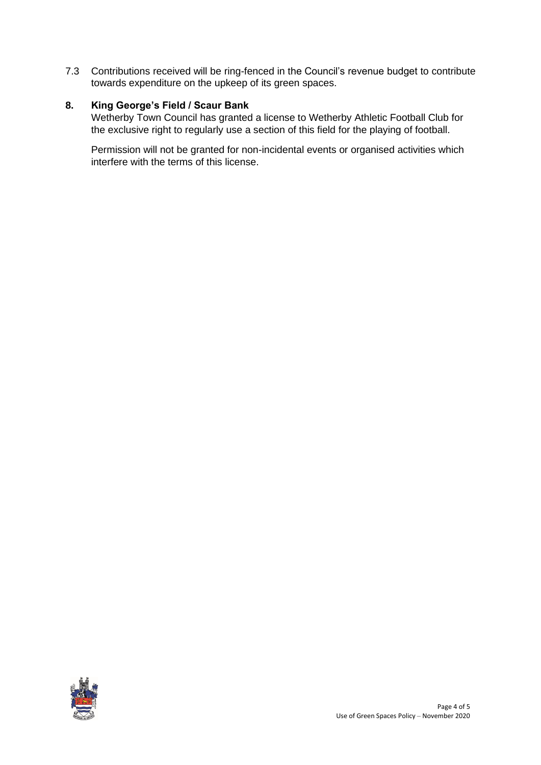7.3 Contributions received will be ring-fenced in the Council's revenue budget to contribute towards expenditure on the upkeep of its green spaces.

#### <span id="page-3-0"></span>**8. King George's Field / Scaur Bank**

Wetherby Town Council has granted a license to Wetherby Athletic Football Club for the exclusive right to regularly use a section of this field for the playing of football.

Permission will not be granted for non-incidental events or organised activities which interfere with the terms of this license.